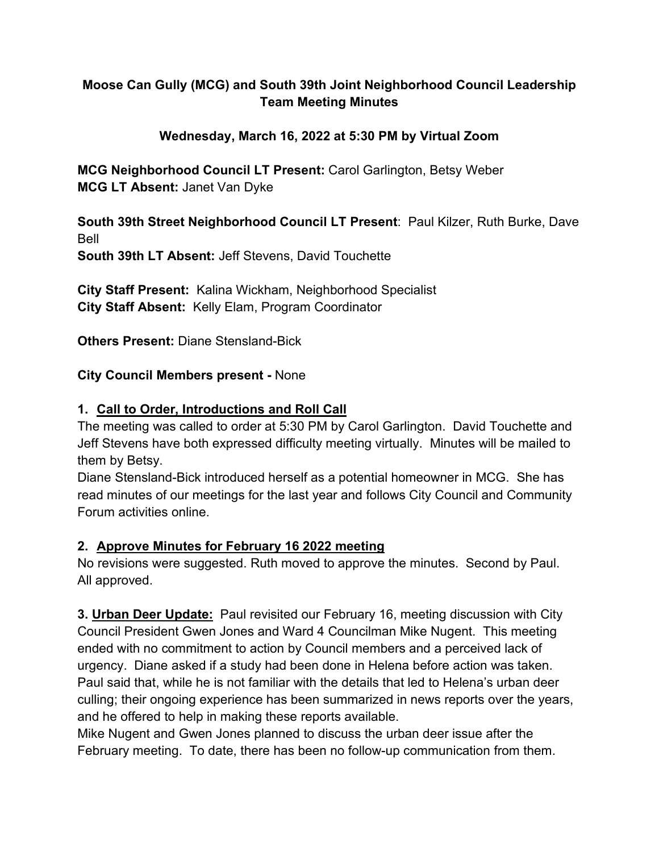## **Moose Can Gully (MCG) and South 39th Joint Neighborhood Council Leadership Team Meeting Minutes**

#### **Wednesday, March 16, 2022 at 5:30 PM by Virtual Zoom**

**MCG Neighborhood Council LT Present:** Carol Garlington, Betsy Weber **MCG LT Absent:** Janet Van Dyke

**South 39th Street Neighborhood Council LT Present**: Paul Kilzer, Ruth Burke, Dave Bell

**South 39th LT Absent:** Jeff Stevens, David Touchette

**City Staff Present:** Kalina Wickham, Neighborhood Specialist **City Staff Absent:** Kelly Elam, Program Coordinator

**Others Present:** Diane Stensland-Bick

#### **City Council Members present -** None

#### **1. Call to Order, Introductions and Roll Call**

The meeting was called to order at 5:30 PM by Carol Garlington. David Touchette and Jeff Stevens have both expressed difficulty meeting virtually. Minutes will be mailed to them by Betsy.

Diane Stensland-Bick introduced herself as a potential homeowner in MCG. She has read minutes of our meetings for the last year and follows City Council and Community Forum activities online.

#### **2. Approve Minutes for February 16 2022 meeting**

No revisions were suggested. Ruth moved to approve the minutes. Second by Paul. All approved.

**3. Urban Deer Update:** Paul revisited our February 16, meeting discussion with City Council President Gwen Jones and Ward 4 Councilman Mike Nugent. This meeting ended with no commitment to action by Council members and a perceived lack of urgency. Diane asked if a study had been done in Helena before action was taken. Paul said that, while he is not familiar with the details that led to Helena's urban deer culling; their ongoing experience has been summarized in news reports over the years, and he offered to help in making these reports available.

Mike Nugent and Gwen Jones planned to discuss the urban deer issue after the February meeting. To date, there has been no follow-up communication from them.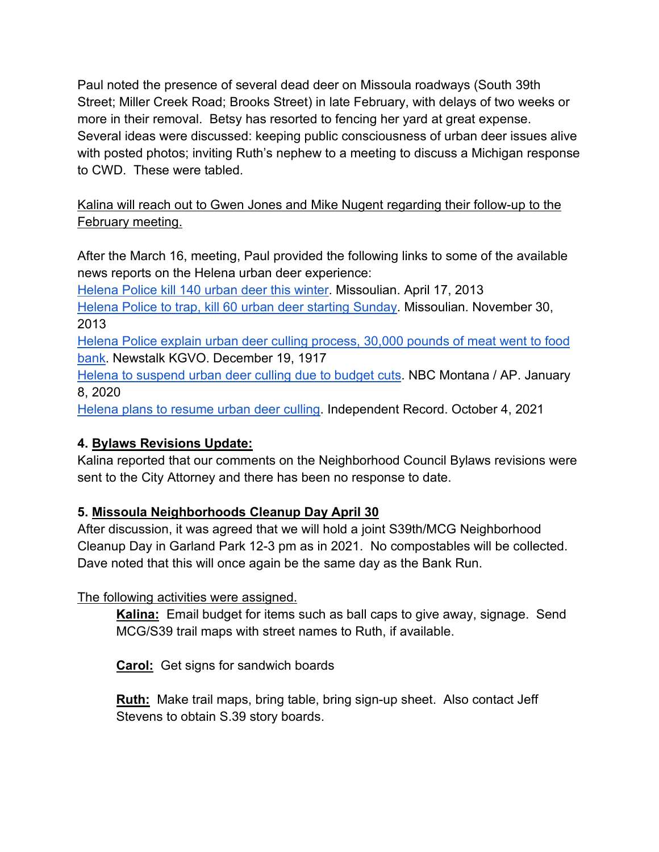Paul noted the presence of several dead deer on Missoula roadways (South 39th Street; Miller Creek Road; Brooks Street) in late February, with delays of two weeks or more in their removal. Betsy has resorted to fencing her yard at great expense. Several ideas were discussed: keeping public consciousness of urban deer issues alive with posted photos; inviting Ruth's nephew to a meeting to discuss a Michigan response to CWD. These were tabled.

Kalina will reach out to Gwen Jones and Mike Nugent regarding their follow-up to the February meeting.

After the March 16, meeting, Paul provided the following links to some of the available news reports on the Helena urban deer experience:

[Helena Police kill 140 urban deer this winter.](https://missoulian.com/news/state-and-regional/helena-police-kill-140-urban-deer-this-winter/article_8809202c-a769-11e2-b661-0019bb2963f4.html#tracking-source=article-related-bottom) Missoulian. April 17, 2013 [Helena Police to trap, kill 60 urban deer starting Sunday.](https://missoulian.com/news/state-and-regional/helena-police-to-trap-kill-60-urban-deer-starting-sunday/article_487b1efe-59c7-11e3-808d-001a4bcf887a.html) Missoulian. November 30, 2013 [Helena Police explain urban deer culling process, 30,000 pounds of meat went to food](https://newstalkkgvo.com/helena-police-explain-urban-deer-culling-process-30000-pounds-of-meat-went-to-food-bank/)  [bank.](https://newstalkkgvo.com/helena-police-explain-urban-deer-culling-process-30000-pounds-of-meat-went-to-food-bank/) Newstalk KGVO. December 19, 1917

[Helena to suspend urban deer culling due to budget cuts.](https://nbcmontana.com/news/local/helena-suspends-deer-culling-due-to-budget-cuts) NBC Montana / AP. January 8, 2020

[Helena plans to resume urban deer culling.](https://helenair.com/news/local/helena-plans-to-resume-urban-deer-culling/article_5a6ef9fc-fe38-5393-885a-a7cc3c7c6c8a.html) Independent Record. October 4, 2021

## **4. Bylaws Revisions Update:**

Kalina reported that our comments on the Neighborhood Council Bylaws revisions were sent to the City Attorney and there has been no response to date.

# **5. Missoula Neighborhoods Cleanup Day April 30**

After discussion, it was agreed that we will hold a joint S39th/MCG Neighborhood Cleanup Day in Garland Park 12-3 pm as in 2021. No compostables will be collected. Dave noted that this will once again be the same day as the Bank Run.

## The following activities were assigned.

**Kalina:** Email budget for items such as ball caps to give away, signage. Send MCG/S39 trail maps with street names to Ruth, if available.

**Carol:** Get signs for sandwich boards

**Ruth:** Make trail maps, bring table, bring sign-up sheet. Also contact Jeff Stevens to obtain S.39 story boards.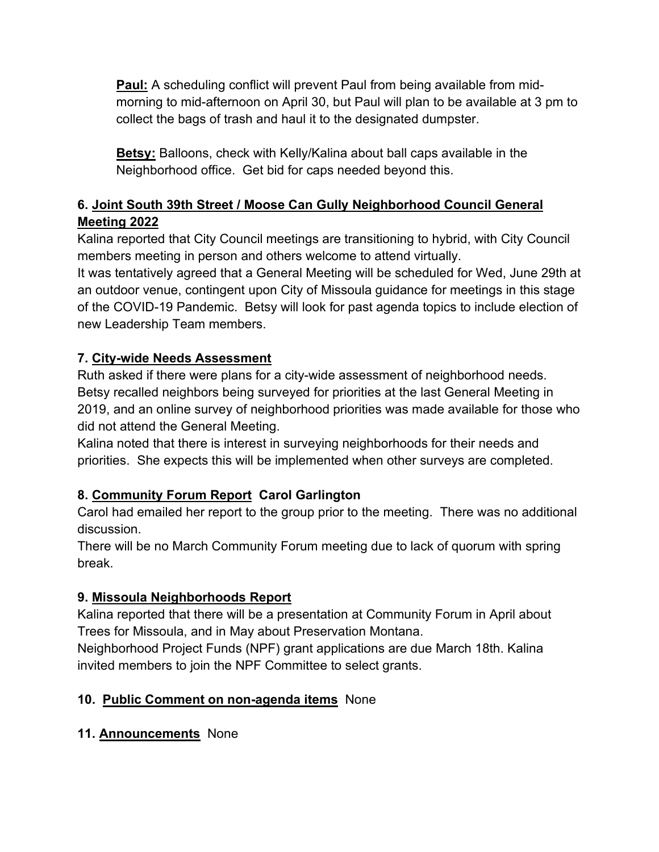**Paul:** A scheduling conflict will prevent Paul from being available from midmorning to mid-afternoon on April 30, but Paul will plan to be available at 3 pm to collect the bags of trash and haul it to the designated dumpster.

**Betsy:** Balloons, check with Kelly/Kalina about ball caps available in the Neighborhood office. Get bid for caps needed beyond this.

# **6. Joint South 39th Street / Moose Can Gully Neighborhood Council General Meeting 2022**

Kalina reported that City Council meetings are transitioning to hybrid, with City Council members meeting in person and others welcome to attend virtually.

It was tentatively agreed that a General Meeting will be scheduled for Wed, June 29th at an outdoor venue, contingent upon City of Missoula guidance for meetings in this stage of the COVID-19 Pandemic. Betsy will look for past agenda topics to include election of new Leadership Team members.

# **7. City-wide Needs Assessment**

Ruth asked if there were plans for a city-wide assessment of neighborhood needs. Betsy recalled neighbors being surveyed for priorities at the last General Meeting in 2019, and an online survey of neighborhood priorities was made available for those who did not attend the General Meeting.

Kalina noted that there is interest in surveying neighborhoods for their needs and priorities. She expects this will be implemented when other surveys are completed.

# **8. Community Forum Report Carol Garlington**

Carol had emailed her report to the group prior to the meeting. There was no additional discussion.

There will be no March Community Forum meeting due to lack of quorum with spring break.

## **9. Missoula Neighborhoods Report**

Kalina reported that there will be a presentation at Community Forum in April about Trees for Missoula, and in May about Preservation Montana.

Neighborhood Project Funds (NPF) grant applications are due March 18th. Kalina invited members to join the NPF Committee to select grants.

## **10. Public Comment on non-agenda items** None

## **11. Announcements** None